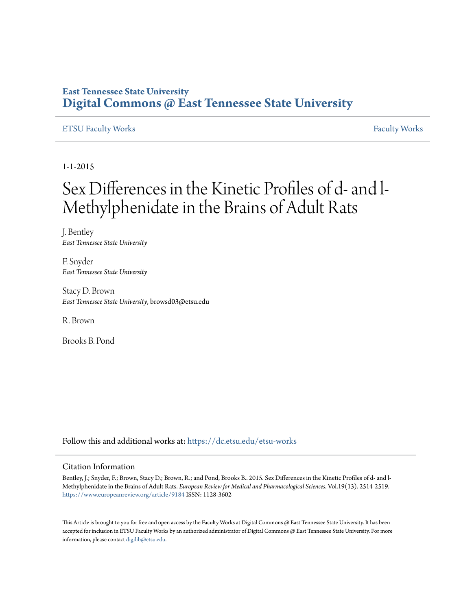## **East Tennessee State University [Digital Commons @ East Tennessee State University](https://dc.etsu.edu?utm_source=dc.etsu.edu%2Fetsu-works%2F5325&utm_medium=PDF&utm_campaign=PDFCoverPages)**

## [ETSU Faculty Works](https://dc.etsu.edu/etsu-works?utm_source=dc.etsu.edu%2Fetsu-works%2F5325&utm_medium=PDF&utm_campaign=PDFCoverPages) [Faculty Works](https://dc.etsu.edu/faculty-works?utm_source=dc.etsu.edu%2Fetsu-works%2F5325&utm_medium=PDF&utm_campaign=PDFCoverPages) Faculty Works

1-1-2015

# Sex Differences in the Kinetic Profiles of d- and l-Methylphenidate in the Brains of Adult Rats

J. Bentley *East Tennessee State University*

F. Snyder *East Tennessee State University*

Stacy D. Brown *East Tennessee State University*, browsd03@etsu.edu

R. Brown

Brooks B. Pond

Follow this and additional works at: [https://dc.etsu.edu/etsu-works](https://dc.etsu.edu/etsu-works?utm_source=dc.etsu.edu%2Fetsu-works%2F5325&utm_medium=PDF&utm_campaign=PDFCoverPages)

### Citation Information

Bentley, J.; Snyder, F.; Brown, Stacy D.; Brown, R.; and Pond, Brooks B.. 2015. Sex Differences in the Kinetic Profiles of d- and l-Methylphenidate in the Brains of Adult Rats. *European Review for Medical and Pharmacological Sciences*. Vol.19(13). 2514-2519. <https://www.europeanreview.org/article/9184> ISSN: 1128-3602

This Article is brought to you for free and open access by the Faculty Works at Digital Commons  $\varpi$  East Tennessee State University. It has been accepted for inclusion in ETSU Faculty Works by an authorized administrator of Digital Commons @ East Tennessee State University. For more information, please contact [digilib@etsu.edu.](mailto:digilib@etsu.edu)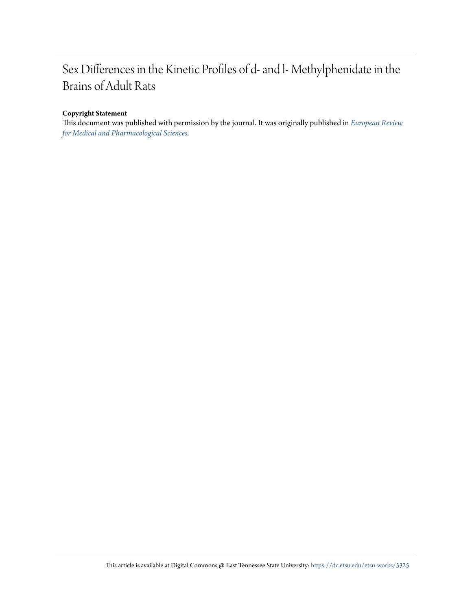## Sex Differences in the Kinetic Profiles of d- and l- Methylphenidate in the Brains of Adult Rats

### **Copyright Statement**

This document was published with permission by the journal. It was originally published in *[European Review](https://www.europeanreview.org/article/9184) [for Medical and Pharmacological Sciences](https://www.europeanreview.org/article/9184)*.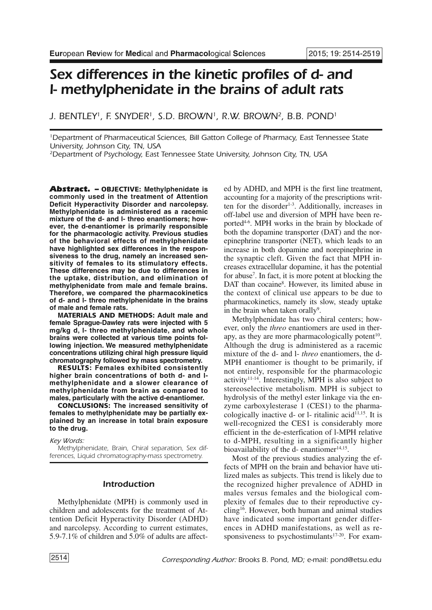## *Sex differences in the kinetic profiles of d- and l- methylphenidate in the brains of adult rats*

*J. BENTLEY1, F. SNYDER1, S.D. BROWN1, R.W. BROWN2, B.B. POND1*

*1Department of Pharmaceutical Sciences, Bill Gatton College of Pharmacy, East Tennessee State University, Johnson City, TN, USA*

*2Department of Psychology, East Tennessee State University, Johnson City, TN, USA*

*Abstract. –* **OBJECTIVE: Methylphenidate is commonly used in the treatment of Attention Deficit Hyperactivity Disorder and narcolepsy. Methylphenidate is administered as a racemic mixture of the d- and l- threo enantiomers; however, the d-enantiomer is primarily responsible for the pharmacologic activity. Previous studies of the behavioral effects of methylphenidate have highlighted sex differences in the responsiveness to the drug, namely an increased sensitivity of females to its stimulatory effects. These differences may be due to differences in the uptake, distribution, and elimination of methylphenidate from male and female brains. Therefore, we compared the pharmacokinetics of d- and l- threo methylphenidate in the brains of male and female rats.**

**MATERIALS AND METHODS: Adult male and female Sprague-Dawley rats were injected with 5 mg/kg d, l- threo methylphenidate, and whole brains were collected at various time points following injection. We measured methylphenidate concentrations utilizing chiral high pressure liquid chromatography followed by mass spectrometry.**

**RESULTS: Females exhibited consistently higher brain concentrations of both d- and lmethylphenidate and a slower clearance of methylphenidate from brain as compared to males, particularly with the active d-enantiomer.**

**CONCLUSIONS: The increased sensitivity of females to methylphenidate may be partially explained by an increase in total brain exposure to the drug.**

*Key Words:*

*Methylphenidate, Brain, Chiral separation, Sex differences, Liquid chromatography-mass spectrometry.*

#### *Introduction*

Methylphenidate (MPH) is commonly used in children and adolescents for the treatment of Attention Deficit Hyperactivity Disorder (ADHD) and narcolepsy. According to current estimates, 5.9-7.1% of children and 5.0% of adults are affected by ADHD, and MPH is the first line treatment, accounting for a majority of the prescriptions written for the disorder<sup>1-3</sup>. Additionally, increases in off-label use and diversion of MPH have been reported4-6 . MPH works in the brain by blockade of both the dopamine transporter (DAT) and the norepinephrine transporter (NET), which leads to an increase in both dopamine and norepinephrine in the synaptic cleft. Given the fact that MPH increases extracellular dopamine, it has the potential for abuse7 . In fact, it is more potent at blocking the DAT than cocaine<sup>8</sup>. However, its limited abuse in the context of clinical use appears to be due to pharmacokinetics, namely its slow, steady uptake in the brain when taken orally<sup>9</sup>.

Methylphenidate has two chiral centers; however, only the *threo* enantiomers are used in therapy, as they are more pharmacologically potent<sup>10</sup>. Although the drug is administered as a racemic mixture of the d- and l- *threo* enantiomers, the d-MPH enantiomer is thought to be primarily, if not entirely, responsible for the pharmacologic activity<sup>11-14</sup>. Interestingly, MPH is also subject to stereoselective metabolism. MPH is subject to hydrolysis of the methyl ester linkage via the enzyme carboxylesterase 1 (CES1) to the pharmacologically inactive  $d$ - or  $l$ - ritalinic acid $11,15$ . It is well-recognized the CES1 is considerably more efficient in the de-esterfication of l-MPH relative to d-MPH, resulting in a significantly higher bioavailability of the d- enantiomer<sup>14,15</sup>.

Most of the previous studies analyzing the effects of MPH on the brain and behavior have utilized males as subjects. This trend is likely due to the recognized higher prevalence of ADHD in males versus females and the biological complexity of females due to their reproductive cycling<sup>16</sup>. However, both human and animal studies have indicated some important gender differences in ADHD manifestations, as well as responsiveness to psychostimulants $17-20$ . For exam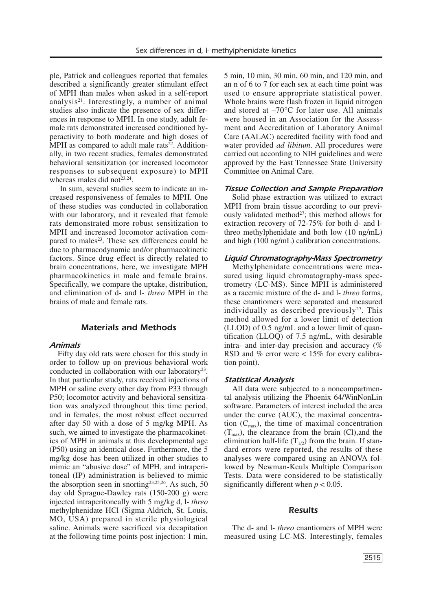ple, Patrick and colleagues reported that females described a significantly greater stimulant effect of MPH than males when asked in a self-report analysis<sup>21</sup>. Interestingly, a number of animal studies also indicate the presence of sex differences in response to MPH. In one study, adult female rats demonstrated increased conditioned hyperactivity to both moderate and high doses of MPH as compared to adult male rats<sup>22</sup>. Additionally, in two recent studies, females demonstrated behavioral sensitization (or increased locomotor responses to subsequent exposure) to MPH whereas males did not<sup>23,24</sup>.

In sum, several studies seem to indicate an increased responsiveness of females to MPH. One of these studies was conducted in collaboration with our laboratory, and it revealed that female rats demonstrated more robust sensitization to MPH and increased locomotor activation compared to males<sup>23</sup>. These sex differences could be due to pharmacodynamic and/or pharmacokinetic factors. Since drug effect is directly related to brain concentrations, here, we investigate MPH pharmacokinetics in male and female brains. Specifically, we compare the uptake, distribution, and elimination of d- and l- *threo* MPH in the brains of male and female rats.

#### *Materials and Methods*

#### *Animals*

Fifty day old rats were chosen for this study in order to follow up on previous behavioral work conducted in collaboration with our laboratory<sup>23</sup>. In that particular study, rats received injections of MPH or saline every other day from P33 through P50; locomotor activity and behavioral sensitization was analyzed throughout this time period, and in females, the most robust effect occurred after day 50 with a dose of 5 mg/kg MPH. As such, we aimed to investigate the pharmacokinetics of MPH in animals at this developmental age (P50) using an identical dose. Furthermore, the 5 mg/kg dose has been utilized in other studies to mimic an "abusive dose" of MPH, and intraperitoneal (IP) administration is believed to mimic the absorption seen in snorting $2^{3,25,26}$ . As such, 50 day old Sprague-Dawley rats (150-200 g) were injected intraperitoneally with 5 mg/kg d, l- *threo* methylphenidate HCl (Sigma Aldrich, St. Louis, MO, USA) prepared in sterile physiological saline. Animals were sacrificed via decapitation at the following time points post injection: 1 min, 5 min, 10 min, 30 min, 60 min, and 120 min, and an n of 6 to 7 for each sex at each time point was used to ensure appropriate statistical power. Whole brains were flash frozen in liquid nitrogen and stored at  $-70^{\circ}$ C for later use. All animals were housed in an Association for the Assessment and Accreditation of Laboratory Animal Care (AALAC) accredited facility with food and water provided *ad libitum*. All procedures were carried out according to NIH guidelines and were approved by the East Tennessee State University Committee on Animal Care.

#### *Tissue Collection and Sample Preparation*

Solid phase extraction was utilized to extract MPH from brain tissue according to our previously validated method<sup>27</sup>; this method allows for extraction recovery of 72-75% for both d- and lthreo methylphenidate and both low (10 ng/mL) and high (100 ng/mL) calibration concentrations.

#### *Liquid Chromatography-Mass Spectrometry*

Methylphenidate concentrations were measured using liquid chromatography-mass spectrometry (LC-MS). Since MPH is administered as a racemic mixture of the d- and l- *threo* forms, these enantiomers were separated and measured individually as described previously<sup>27</sup>. This method allowed for a lower limit of detection (LLOD) of 0.5 ng/mL and a lower limit of quantification (LLOQ) of 7.5 ng/mL, with desirable intra- and inter-day precision and accuracy (% RSD and % error were < 15% for every calibration point).

#### *Statistical Analysis*

All data were subjected to a noncompartmental analysis utilizing the Phoenix 64/WinNonLin software. Parameters of interest included the area under the curve (AUC), the maximal concentration  $(C_{\text{max}})$ , the time of maximal concentration  $(T<sub>may</sub>)$ , the clearance from the brain (Cl), and the elimination half-life  $(T_{1/2})$  from the brain. If standard errors were reported, the results of these analyses were compared using an ANOVA followed by Newman-Keuls Multiple Comparison Tests. Data were considered to be statistically significantly different when  $p < 0.05$ .

#### *Results*

The d- and l- *threo* enantiomers of MPH were measured using LC-MS. Interestingly, females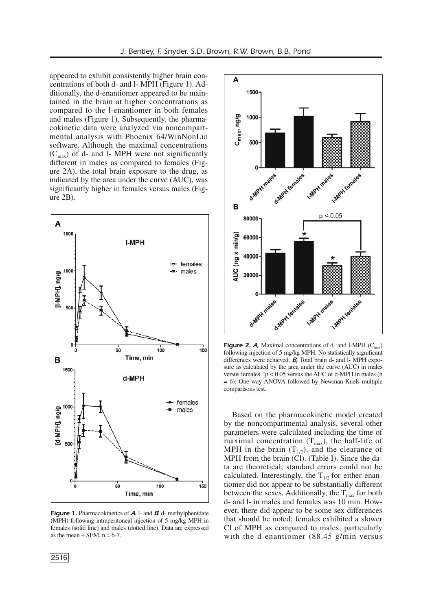appeared to exhibit consistently higher brain concentrations of both d- and l- MPH (Figure 1). Additionally, the d-enantiomer appeared to be maintained in the brain at higher concentrations as compared to the l-enantiomer in both females and males (Figure 1). Subsequently, the pharmacokinetic data were analyzed via noncompartmental analysis with Phoenix 64/WinNonLin software. Although the maximal concentrations  $(C<sub>max</sub>)$  of d- and l- MPH were not significantly different in males as compared to females (Figure 2A), the total brain exposure to the drug, as indicated by the area under the curve (AUC), was significantly higher in females versus males (Figure 2B).



Figure 1. Pharmacokinetics of *A*, l- and *B*, d- methylphenidate (MPH) following intraperitoneal injection of 5 mg/kg MPH in females (solid line) and males (dotted line). Data are expressed as the mean  $\pm$  SEM, n = 6-7.



**Figure 2. A,** Maximal concentrations of d- and l-MPH  $(C_{\text{max}})$ following injection of 5 mg/kg MPH. No statistically significant differences were achieved. *B,* Total brain d- and l- MPH exposure as calculated by the area under the curve (AUC) in males versus females.  $\dot{p}$  < 0.05 versus the AUC of d-MPH in males (n  $= 6$ ); One way ANOVA followed by Newman-Kuels multiple comparisons test.

Based on the pharmacokinetic model created by the noncompartmental analysis, several other parameters were calculated including the time of maximal concentration  $(T_{max})$ , the half-life of MPH in the brain  $(T_{1/2})$ , and the clearance of MPH from the brain (Cl). (Table I). Since the data are theoretical, standard errors could not be calculated. Interestingly, the  $T_{1/2}$  for either enantiomer did not appear to be substantially different between the sexes. Additionally, the  $T_{\text{max}}$  for both d- and l- in males and females was 10 min. However, there did appear to be some sex differences that should be noted; females exhibited a slower Cl of MPH as compared to males, particularly with the d-enantiomer (88.45 g/min versus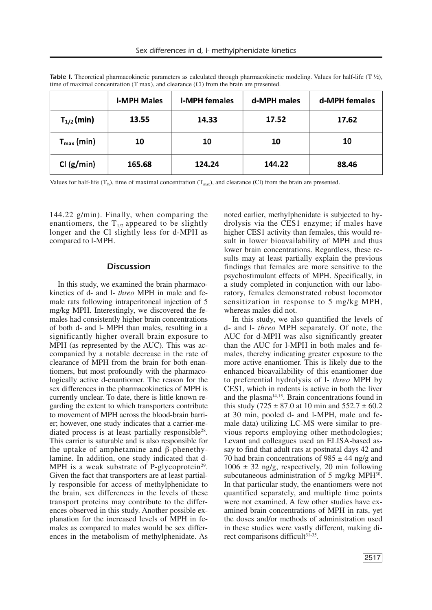|                        | <b>I-MPH Males</b> | <b>I-MPH females</b> | d-MPH males | d-MPH females |
|------------------------|--------------------|----------------------|-------------|---------------|
| $T_{1/2}$ (min)        | 13.55              | 14.33                | 17.52       | 17.62         |
| $T_{\text{max}}$ (min) | 10                 | 10                   | 10          | 10            |
| Cl (g/min)             | 165.68             | 124.24               | 144.22      | 88.46         |

**Table** *I***.** Theoretical pharmacokinetic parameters as calculated through pharmacokinetic modeling. Values for half-life (T  $\frac{1}{2}$ ), time of maximal concentration (T max), and clearance (Cl) from the brain are presented.

Values for half-life  $(T_{\gamma_2})$ , time of maximal concentration  $(T_{\text{max}})$ , and clearance (Cl) from the brain are presented.

144.22 g/min). Finally, when comparing the enantiomers, the  $T_{1/2}$  appeared to be slightly longer and the Cl slightly less for d-MPH as compared to l-MPH.

#### *Discussion*

In this study, we examined the brain pharmacokinetics of d- and l- *threo* MPH in male and female rats following intraperitoneal injection of 5 mg/kg MPH. Interestingly, we discovered the females had consistently higher brain concentrations of both d- and l- MPH than males, resulting in a significantly higher overall brain exposure to MPH (as represented by the AUC). This was accompanied by a notable decrease in the rate of clearance of MPH from the brain for both enantiomers, but most profoundly with the pharmacologically active d-enantiomer. The reason for the sex differences in the pharmacokinetics of MPH is currently unclear. To date, there is little known regarding the extent to which transporters contribute to movement of MPH across the blood-brain barrier; however, one study indicates that a carrier-mediated process is at least partially responsible<sup>28</sup>. This carrier is saturable and is also responsible for the uptake of amphetamine and β-phenethylamine. In addition, one study indicated that d-MPH is a weak substrate of P-glycoprotein<sup>29</sup>. Given the fact that transporters are at least partially responsible for access of methylphenidate to the brain, sex differences in the levels of these transport proteins may contribute to the differences observed in this study. Another possible explanation for the increased levels of MPH in females as compared to males would be sex differences in the metabolism of methylphenidate. As

noted earlier, methylphenidate is subjected to hydrolysis via the CES1 enzyme; if males have higher CES1 activity than females, this would result in lower bioavailability of MPH and thus lower brain concentrations. Regardless, these results may at least partially explain the previous findings that females are more sensitive to the psychostimulant effects of MPH. Specifically, in a study completed in conjunction with our laboratory, females demonstrated robust locomotor sensitization in response to 5 mg/kg MPH, whereas males did not.

In this study, we also quantified the levels of d- and l- *threo* MPH separately. Of note, the AUC for d-MPH was also significantly greater than the AUC for l-MPH in both males and females, thereby indicating greater exposure to the more active enantiomer. This is likely due to the enhanced bioavailability of this enantiomer due to preferential hydrolysis of l- *threo* MPH by CES1, which in rodents is active in both the liver and the plasma<sup>14,15</sup>. Brain concentrations found in this study (725  $\pm$  87.0 at 10 min and 552.7  $\pm$  60.2 at 30 min, pooled d- and l-MPH, male and female data) utilizing LC-MS were similar to previous reports employing other methodologies; Levant and colleagues used an ELISA-based assay to find that adult rats at postnatal days 42 and 70 had brain concentrations of  $985 \pm 44$  ng/g and  $1006 \pm 32$  ng/g, respectively, 20 min following subcutaneous administration of 5 mg/kg MPH<sup>30</sup>. In that particular study, the enantiomers were not quantified separately, and multiple time points were not examined. A few other studies have examined brain concentrations of MPH in rats, yet the doses and/or methods of administration used in these studies were vastly different, making direct comparisons difficult<sup>31-35</sup>.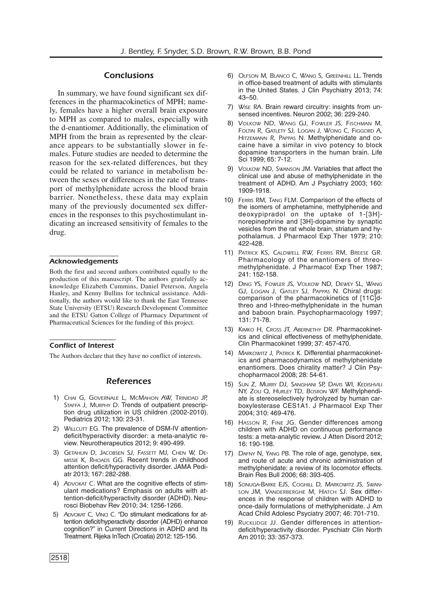#### *Conclusions*

In summary, we have found significant sex differences in the pharmacokinetics of MPH; namely, females have a higher overall brain exposure to MPH as compared to males, especially with the d-enantiomer. Additionally, the elimination of MPH from the brain as represented by the clearance appears to be substantially slower in females. Future studies are needed to determine the reason for the sex-related differences, but they could be related to variance in metabolism between the sexes or differences in the rate of transport of methylphenidate across the blood brain barrier. Nonetheless, these data may explain many of the previously documented sex differences in the responses to this psychostimulant indicating an increased sensitivity of females to the drug.

#### ––––––––––––––––––– *Acknowledgements*

Both the first and second authors contributed equally to the production of this manuscript. The authors gratefully acknowledge Elizabeth Cummins, Daniel Peterson, Angela Hanley, and Kenny Bullins for technical assistance. Additionally, the authors would like to thank the East Tennessee State University (ETSU) Research Development Committee and the ETSU Gatton College of Pharmacy Department of Pharmaceutical Sciences for the funding of this project.

#### –––––––––––––––––-––– *Conflict of Interest*

The Authors declare that they have no conflict of interests.

#### *References*

- 1) *CHAI G, GOVERNALE L, MCMAHON AW, TRINIDAD JP, STAFFA J, MURPHY D.* Trends of outpatient prescription drug utilization in US children (2002-2010). Pediatrics 2012; 130: 23-31.
- 2) *WILLCUTT EG.* The prevalence of DSM-IV attentiondeficit/hyperactivity disorder: a meta-analytic review. Neurotherapeutics 2012; 9: 490-499.
- 3) *GETAHUN D, JACOBSEN SJ, FASSETT MJ, CHEN W, DE-MISSIE K, RHOADS GG.* Recent trends in childhood attention deficit/hyperactivity disorder. JAMA Pediatr 2013; 167: 282-288.
- 4) *ADVOKAT C.* What are the cognitive effects of stimulant medications? Emphasis on adults with attention-deficit/hyperactivity disorder (ADHD). Neurosci Biobehav Rev 2010; 34: 1256-1266.
- 5) *ADVOKAT C, VINCI C.* "Do stimulant medications for attention deficit/hyperactivity disorder (ADHD) enhance cognition?" in Current Directions in ADHD and Its Treatment. Rijeka InTech (Croatia) 2012: 125-156.
- 6) *OLFSON M, BLANCO C, WANG S, GREENHILL LL*. Trends in office-based treatment of adults with stimulants in the United States. J Clin Psychiatry 2013; 74: 43–50.
- 7) *WISE RA.* Brain reward circuitry: insights from unsensed incentives. Neuron 2002; 36: 229-240.
- 8) *VOLKOW ND, WANG GJ, FOWLER JS, FISCHMAN M, FOLTIN R, GATLETY SJ, LOGAN J, WONG C, FIGGORD A, HITZEMANN R, PAPPAS N.* Methylphenidate and cocaine have a similar in vivo potency to block dopamine transporters in the human brain. Life Sci 1999; 65: 7-12.
- 9) *VOLKOW ND, SWANSON JM.* Variables that affect the clinical use and abuse of methylphenidate in the treatment of ADHD. Am J Psychiatry 2003; 160: 1909-1918.
- 10) *FERRIS RM, TANG FLM.* Comparison of the effects of the isomers of amphetamine, methylphenide and deoxypipradol on the uptake of 1-[3H] norepinephrine and [3H]-dopamine by synaptic vesicles from the rat whole brain, striatum and hypothalamus. J Pharmacol Exp Ther 1979; 210: 422-428.
- 11) *PATRICK KS, CALDWELL RW, FERRIS RM, BREESE GR.* Pharmacology of the enantiomers of threomethylphenidate. J Pharmacol Exp Ther 1987; 241: 152-158.
- 12) *DING YS, FOWLER JS, VOLKOW ND, DEWEY SL, WANG GJ, LOGAN J, GATLEY SJ, PAPPAS N.* Chiral drugs: comparison of the pharmacokinetics of [11C]dthreo and l-threo-methylphenidate in the human and baboon brain. Psychopharmacology 1997; 131: 71-78.
- 13) *KIMKO H, CROSS JT, ABERNETHY DR.* Pharmacokinetics and clinical effectiveness of methylphenidate. Clin Pharmacokinet 1999; 37: 457-470.
- 14) *MARKOWITZ J, PATRICK K.* Differential pharmacokinetics and pharmacodynamics of methylphenidate enantiomers. Does chirality matter? J Clin Psychopharmacol 2008; 28: 54-61.
- 15) *SUN Z, MURRY DJ, SANGHANI SP, DAVIS WI, KEDISHVILI NY, ZOU Q, HURLEY TD, BOSRON WF.* Methylphendiate is stereoselectively hydrolyzed by human carboxylesterase CES1A1. J Pharmacol Exp Ther 2004; 310: 469-476.
- 16) *HASSON R, FINE JG.* Gender differences among children with ADHD on continuous performance tests: a meta-analytic review. J Atten Disord 2012; 16: 190-198.
- 17) *DAFNY N, YANG PB.* The role of age, genotype, sex, and route of acute and chronic administration of methylphenidate: a review of its locomotor effects. Brain Res Bull 2006; 68: 393-405.
- 18) *SONUGA-BARKE EJS, COGHILL D, MARKOWITZ JS, SWAN-SON JM, VANDERBERGHE M, HATCH SJ.* Sex differences in the response of children with ADHD to once-daily formulations of methylphenidate. J Am Acad Child Adolesc Psyciatry 2007; 46: 701-710.
- 19) *RUCKLIDGE JJ.* Gender differences in attentiondeficit/hyperactivity disorder. Pyschiatr Clin North Am 2010; 33: 357-373.